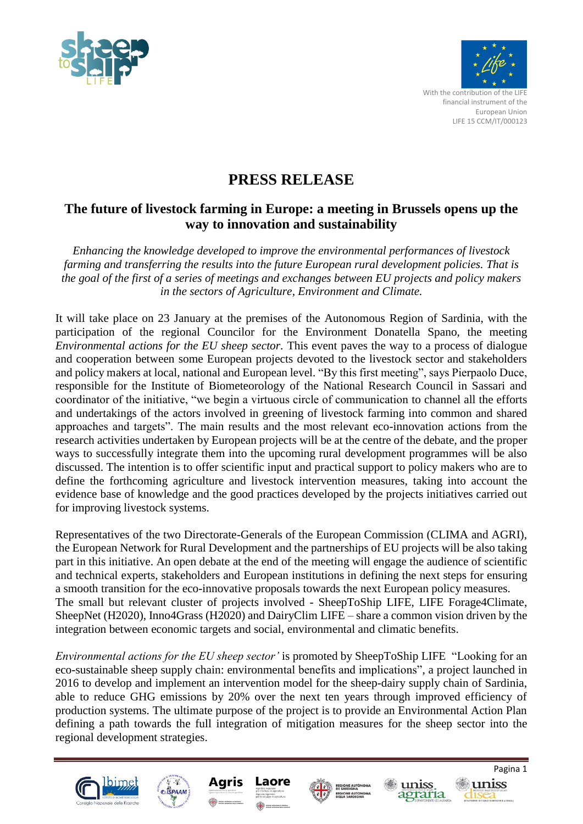



## **PRESS RELEASE**

## **The future of livestock farming in Europe: a meeting in Brussels opens up the way to innovation and sustainability**

*Enhancing the knowledge developed to improve the environmental performances of livestock farming and transferring the results into the future European rural development policies. That is the goal of the first of a series of meetings and exchanges between EU projects and policy makers in the sectors of Agriculture, Environment and Climate.*

It will take place on 23 January at the premises of the Autonomous Region of Sardinia, with the participation of the regional Councilor for the Environment Donatella Spano, the meeting *Environmental actions for the EU sheep sector.* This event paves the way to a process of dialogue and cooperation between some European projects devoted to the livestock sector and stakeholders and policy makers at local, national and European level. "By this first meeting", says Pierpaolo Duce, responsible for the Institute of Biometeorology of the National Research Council in Sassari and coordinator of the initiative, "we begin a virtuous circle of communication to channel all the efforts and undertakings of the actors involved in greening of livestock farming into common and shared approaches and targets". The main results and the most relevant eco-innovation actions from the research activities undertaken by European projects will be at the centre of the debate, and the proper ways to successfully integrate them into the upcoming rural development programmes will be also discussed. The intention is to offer scientific input and practical support to policy makers who are to define the forthcoming agriculture and livestock intervention measures, taking into account the evidence base of knowledge and the good practices developed by the projects initiatives carried out for improving livestock systems.

Representatives of the two Directorate-Generals of the European Commission (CLIMA and AGRI), the European Network for Rural Development and the partnerships of EU projects will be also taking part in this initiative. An open debate at the end of the meeting will engage the audience of scientific and technical experts, stakeholders and European institutions in defining the next steps for ensuring a smooth transition for the eco-innovative proposals towards the next European policy measures. The small but relevant cluster of projects involved - SheepToShip LIFE, LIFE Forage4Climate, SheepNet (H2020), Inno4Grass (H2020) and DairyClim LIFE – share a common vision driven by the integration between economic targets and social, environmental and climatic benefits.

*Environmental actions for the EU sheep sector'* is promoted by SheepToShip LIFE "Looking for an eco-sustainable sheep supply chain: environmental benefits and implications", a project launched in 2016 to develop and implement an intervention model for the sheep-dairy supply chain of Sardinia, able to reduce GHG emissions by 20% over the next ten years through improved efficiency of production systems. The ultimate purpose of the project is to provide an Environmental Action Plan defining a path towards the full integration of mitigation measures for the sheep sector into the regional development strategies.